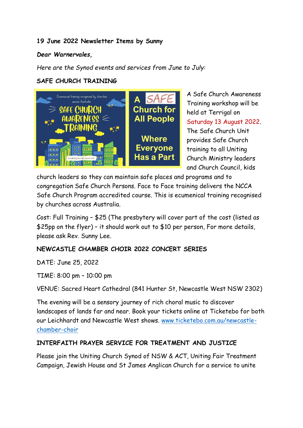### **19 June 2022 Newsletter Items by Sunny**

### *Dear Warnervales,*

*Here are the Synod events and services from June to July:*

### **SAFE CHURCH TRAINING**



A Safe Church Awareness Training workshop will be held at Terrigal on Saturday 13 August 2022. The Safe Church Unit provides Safe Church training to all Uniting Church Ministry leaders and Church Council, kids

church leaders so they can maintain safe places and programs and to congregation Safe Church Persons. Face to Face training delivers the NCCA Safe Church Program accredited course. This is ecumenical training recognised by churches across Australia.

Cost: Full Training – \$25 (The presbytery will cover part of the cost (listed as \$25pp on the flyer) – it should work out to \$10 per person, For more details, please ask Rev. Sunny Lee.

## **NEWCASTLE CHAMBER CHOIR 2022 CONCERT SERIES**

DATE: June 25, 2022

TIME: 8:00 pm – 10:00 pm

VENUE: Sacred Heart Cathedral (841 Hunter St, Newcastle West NSW 2302)

The evening will be a sensory journey of rich choral music to discover landscapes of lands far and near. Book your tickets online at Ticketebo for both our Leichhardt and Newcastle West shows. www.ticketebo.com.au/newcastlechamber-choir

## **INTERFAITH PRAYER SERVICE FOR TREATMENT AND JUSTICE**

Please join the Uniting Church Synod of NSW & ACT, Uniting Fair Treatment Campaign, Jewish House and St James Anglican Church for a service to unite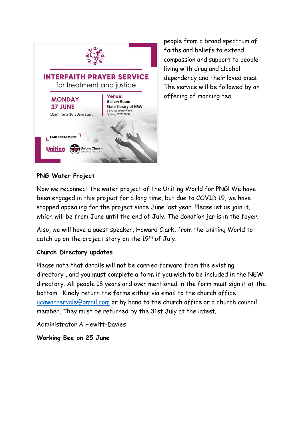

people from a broad spectrum of faiths and beliefs to extend compassion and support to people living with drug and alcohol dependency and their loved ones. The service will be followed by an offering of morning tea.

# **PNG Water Project**

Now we reconnect the water project of the Uniting World for PNG! We have been engaged in this project for a long time, but due to COVID 19, we have stopped appealing for the project since June last year. Please let us join it, which will be from June until the end of July. The donation jar is in the foyer.

Also, we will have a guest speaker, Howard Clark, from the Uniting World to catch up on the project story on the  $19<sup>th</sup>$  of July.

### **Church Directory updates**

Please note that details will not be carried forward from the existing directory , and you must complete a form if you wish to be included in the NEW directory. All people 18 years and over mentioned in the form must sign it at the bottom . Kindly return the forms either via email to the church office ucawarnervale@gmail.com or by hand to the church office or a church council member. They must be returned by the 31st July at the latest.

Administrator A Hewitt-Davies

**Working Bee on 25 June**